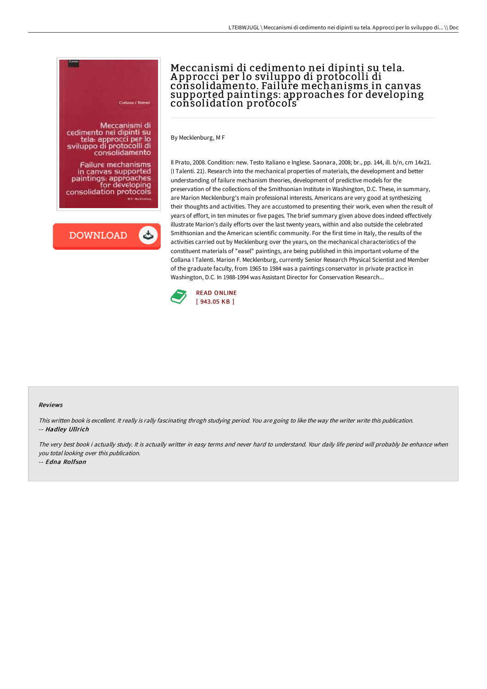

**Failure mechanisms** in canvas supported paintings: approaches consolidation protocols **M.F. MOVEL** 

**DOWNLOAD** 

ٹ

## Meccanismi di cedimento nei dipinti su tela. A pprocci per lo sviluppo di protocolli di consolidamento. Failure mechanisms in canvas supported paintings: approaches for developing consolidation protocols

By Mecklenburg, M F

Il Prato, 2008. Condition: new. Testo Italiano e Inglese. Saonara, 2008; br., pp. 144, ill. b/n, cm 14x21. (I Talenti. 21). Research into the mechanical properties of materials, the development and better understanding of failure mechanism theories, development of predictive models for the preservation of the collections of the Smithsonian Institute in Washington, D.C. These, in summary, are Marion Mecklenburg's main professional interests. Americans are very good at synthesizing their thoughts and activities. They are accustomed to presenting their work, even when the result of years of effort, in ten minutes or five pages. The brief summary given above does indeed effectively illustrate Marion's daily efforts over the last twenty years, within and also outside the celebrated Smithsonian and the American scientific community. For the first time in Italy, the results of the activities carried out by Mecklenburg over the years, on the mechanical characteristics of the constituent materials of "easel" paintings, are being published in this important volume of the Collana I Talenti. Marion F. Mecklenburg, currently Senior Research Physical Scientist and Member of the graduate faculty, from 1965 to 1984 was a paintings conservator in private practice in Washington, D.C. In 1988-1994 was Assistant Director for Conservation Research...



## Reviews

This written book is excellent. It really is rally fascinating throgh studying period. You are going to like the way the writer write this publication. -- Hadley Ullrich

The very best book i actually study. It is actually writter in easy terms and never hard to understand. Your daily life period will probably be enhance when you total looking over this publication.

-- Edna Rolfson